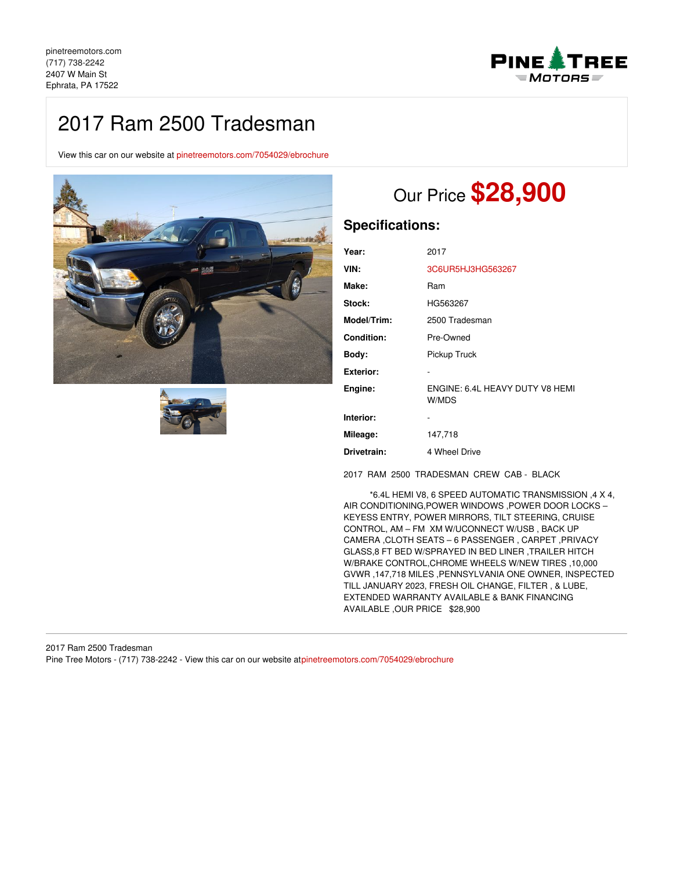**PINE ATREE**  $=MOTORS =$ 

# 2017 Ram 2500 Tradesman

View this car on our website at [pinetreemotors.com/7054029/ebrochure](https://pinetreemotors.com/vehicle/7054029/2017-ram-2500-tradesman-ephrata-pa-17522/7054029/ebrochure)





# Our Price **\$28,900**

# **Specifications:**

| Year:             | 2017                                     |
|-------------------|------------------------------------------|
| VIN:              | 3C6UR5HJ3HG563267                        |
| Make:             | Ram                                      |
| Stock:            | HG563267                                 |
| Model/Trim:       | 2500 Tradesman                           |
| <b>Condition:</b> | Pre-Owned                                |
| Body:             | Pickup Truck                             |
| <b>Exterior:</b>  |                                          |
| Engine:           | ENGINE: 6.4L HEAVY DUTY V8 HEMI<br>W/MDS |
| Interior:         |                                          |
| Mileage:          | 147,718                                  |
| Drivetrain:       | 4 Wheel Drive                            |

2017 RAM 2500 TRADESMAN CREW CAB - BLACK

\*6.4L HEMI V8, 6 SPEED AUTOMATIC TRANSMISSION ,4 X 4, AIR CONDITIONING,POWER WINDOWS ,POWER DOOR LOCKS – KEYESS ENTRY, POWER MIRRORS, TILT STEERING, CRUISE CONTROL, AM – FM XM W/UCONNECT W/USB , BACK UP CAMERA ,CLOTH SEATS – 6 PASSENGER , CARPET ,PRIVACY GLASS,8 FT BED W/SPRAYED IN BED LINER ,TRAILER HITCH W/BRAKE CONTROL,CHROME WHEELS W/NEW TIRES ,10,000 GVWR ,147,718 MILES ,PENNSYLVANIA ONE OWNER, INSPECTED TILL JANUARY 2023, FRESH OIL CHANGE, FILTER , & LUBE, EXTENDED WARRANTY AVAILABLE & BANK FINANCING AVAILABLE ,OUR PRICE \$28,900

2017 Ram 2500 Tradesman Pine Tree Motors - (717) 738-2242 - View this car on our website at[pinetreemotors.com/7054029/ebrochure](https://pinetreemotors.com/vehicle/7054029/2017-ram-2500-tradesman-ephrata-pa-17522/7054029/ebrochure)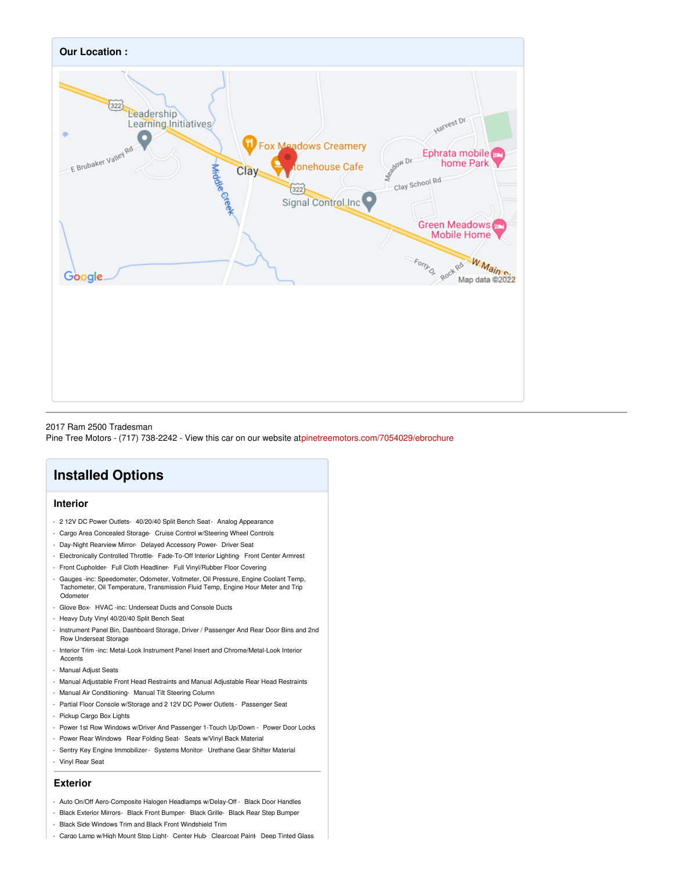

#### 2017 Ram 2500 Tradesman

Pine Tree Motors - (717) 738-2242 - View this car on our website at[pinetreemotors.com/7054029/ebrochure](https://pinetreemotors.com/vehicle/7054029/2017-ram-2500-tradesman-ephrata-pa-17522/7054029/ebrochure)

# **Installed Options**

### **Interior**

- 2 12V DC Power Outlets- 40/20/40 Split Bench Seat- Analog Appearance
- Cargo Area Concealed Storage- Cruise Control w/Steering Wheel Controls
- Day-Night Rearview Mirror- Delayed Accessory Power- Driver Seat
- Electronically Controlled Throttle- Fade-To-Off Interior Lighting- Front Center Armrest
- Front Cupholder- Full Cloth Headliner- Full Vinyl/Rubber Floor Covering
- Gauges -inc: Speedometer, Odometer, Voltmeter, Oil Pressure, Engine Coolant Temp, Tachometer, Oil Temperature, Transmission Fluid Temp, Engine Hour Meter and Trip Odometer
- Glove Box- HVAC -inc: Underseat Ducts and Console Ducts
- Heavy Duty Vinyl 40/20/40 Split Bench Seat
- Instrument Panel Bin, Dashboard Storage, Driver / Passenger And Rear Door Bins and 2nd Row Underseat Storage
- Interior Trim -inc: Metal-Look Instrument Panel Insert and Chrome/Metal-Look Interior Accents
- Manual Adjust Seats
- Manual Adjustable Front Head Restraints and Manual Adjustable Rear Head Restraints
- Manual Air Conditioning- Manual Tilt Steering Column
- Partial Floor Console w/Storage and 2 12V DC Power Outlets Passenger Seat
- Pickup Cargo Box Lights
- Power 1st Row Windows w/Driver And Passenger 1-Touch Up/Down Power Door Locks
- Power Rear Windows- Rear Folding Seat- Seats w/Vinyl Back Material
- Sentry Key Engine Immobilizer- Systems Monitor- Urethane Gear Shifter Material
- Vinyl Rear Seat

#### **Exterior**

- Auto On/Off Aero-Composite Halogen Headlamps w/Delay-Off Black Door Handles
- Black Exterior Mirrors- Black Front Bumper- Black Grille- Black Rear Step Bumper
- Black Side Windows Trim and Black Front Windshield Trim
- Cargo Lamp w/High Mount Stop Light- Center Hub- Clearcoat Paint- Deep Tinted Glass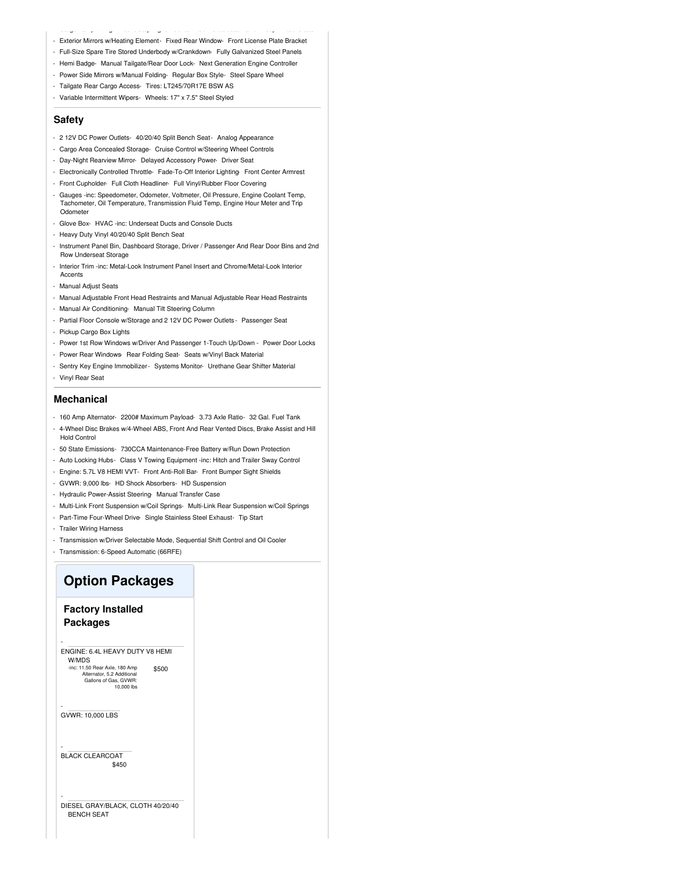- Cargo Lamp w/High Mount Stop Light- Center Hub- Clearcoat Paint- Deep Tinted Glass - Exterior Mirrors w/Heating Element- Fixed Rear Window- Front License Plate Bracket
- Full-Size Spare Tire Stored Underbody w/Crankdown- Fully Galvanized Steel Panels
- Hemi Badge- Manual Tailgate/Rear Door Lock- Next Generation Engine Controller
- Power Side Mirrors w/Manual Folding- Regular Box Style- Steel Spare Wheel
- Tailgate Rear Cargo Access- Tires: LT245/70R17E BSW AS
- Variable Intermittent Wipers- Wheels: 17" x 7.5" Steel Styled

#### **Safety**

- 2 12V DC Power Outlets- 40/20/40 Split Bench Seat- Analog Appearance
- Cargo Area Concealed Storage- Cruise Control w/Steering Wheel Controls
- Day-Night Rearview Mirror- Delayed Accessory Power- Driver Seat
- Electronically Controlled Throttle- Fade-To-Off Interior Lighting- Front Center Armrest
- Front Cupholder- Full Cloth Headliner- Full Vinyl/Rubber Floor Covering
- Gauges -inc: Speedometer, Odometer, Voltmeter, Oil Pressure, Engine Coolant Temp, Tachometer, Oil Temperature, Transmission Fluid Temp, Engine Hour Meter and Trip Odometer
- Glove Box- HVAC -inc: Underseat Ducts and Console Ducts
- Heavy Duty Vinyl 40/20/40 Split Bench Seat
- Instrument Panel Bin, Dashboard Storage, Driver / Passenger And Rear Door Bins and 2nd Row Underseat Storage
- Interior Trim -inc: Metal-Look Instrument Panel Insert and Chrome/Metal-Look Interior Accents
- Manual Adjust Seats
- Manual Adjustable Front Head Restraints and Manual Adjustable Rear Head Restraints
- Manual Air Conditioning- Manual Tilt Steering Column
- Partial Floor Console w/Storage and 2 12V DC Power Outlets Passenger Seat
- Pickup Cargo Box Lights
- Power 1st Row Windows w/Driver And Passenger 1-Touch Up/Down Power Door Locks
- Power Rear Windows- Rear Folding Seat- Seats w/Vinyl Back Material
- Sentry Key Engine Immobilizer- Systems Monitor- Urethane Gear Shifter Material - Vinyl Rear Seat

#### **Mechanical**

- 160 Amp Alternator- 2200# Maximum Payload- 3.73 Axle Ratio- 32 Gal. Fuel Tank
- 4-Wheel Disc Brakes w/4-Wheel ABS, Front And Rear Vented Discs, Brake Assist and Hill Hold Control
- 50 State Emissions- 730CCA Maintenance-Free Battery w/Run Down Protection
- Auto Locking Hubs- Class V Towing Equipment -inc: Hitch and Trailer Sway Control
- Engine: 5.7L V8 HEMI VVT- Front Anti-Roll Bar- Front Bumper Sight Shields
- GVWR: 9,000 lbs- HD Shock Absorbers- HD Suspension
- Hydraulic Power-Assist Steering- Manual Transfer Case
- Multi-Link Front Suspension w/Coil Springs- Multi-Link Rear Suspension w/Coil Springs
- Part-Time Four-Wheel Drive- Single Stainless Steel Exhaust- Tip Start
- Trailer Wiring Harness
- Transmission w/Driver Selectable Mode, Sequential Shift Control and Oil Cooler
- Transmission: 6-Speed Automatic (66RFE)

## **Option Packages**

### **Factory Installed Packages**

\$500 ENGINE: 6.4L HEAVY DUTY V8 HEMI W/MDS -inc: 11.50 Rear Axle, 180 Amp Alternator, 5.2 Additional Gallons of Gas, GVWR: as, avvoir<br>10.000 lbs

GVWR: 10,000 LBS

-

-

-

-

\$450 BLACK CLEARCOAT

DIESEL GRAY/BLACK, CLOTH 40/20/40 BENCH SEAT